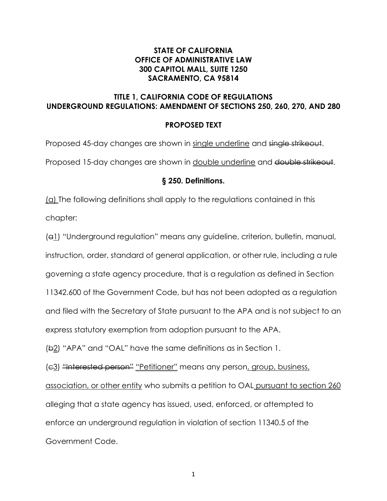## **STATE OF CALIFORNIA OFFICE OF ADMINISTRATIVE LAW 300 CAPITOL MALL, SUITE 1250 SACRAMENTO, CA 95814**

## **TITLE 1, CALIFORNIA CODE OF REGULATIONS UNDERGROUND REGULATIONS: AMENDMENT OF SECTIONS 250, 260, 270, AND 280**

## **PROPOSED TEXT**

Proposed 45-day changes are shown in single underline and single strikeout. Proposed 15-day changes are shown in double underline and double strikeout.

#### **§ 250. Definitions.**

(a) The following definitions shall apply to the regulations contained in this chapter:

(a1) "Underground regulation" means any guideline, criterion, bulletin, manual, instruction, order, standard of general application, or other rule, including a rule governing a state agency procedure, that is a regulation as defined in Section 11342.600 of the Government Code, but has not been adopted as a regulation and filed with the Secretary of State pursuant to the APA and is not subject to an express statutory exemption from adoption pursuant to the APA.

(b2) "APA" and "OAL" have the same definitions as in Section 1.

(e3) "Interested person" "Petitioner" means any person, group, business,

association, or other entity who submits a petition to OAL pursuant to section 260 alleging that a state agency has issued, used, enforced, or attempted to enforce an underground regulation in violation of section 11340.5 of the Government Code.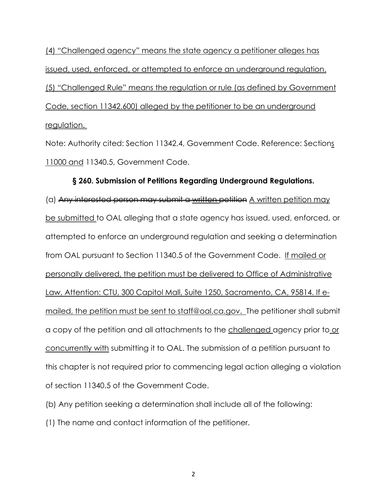(4) "Challenged agency" means the state agency a petitioner alleges has issued, used, enforced, or attempted to enforce an underground regulation. (5) "Challenged Rule" means the regulation or rule (as defined by Government Code, section 11342.600) alleged by the petitioner to be an underground regulation.

Note: Authority cited: Section 11342.4, Government Code. Reference: Sections 11000 and 11340.5, Government Code.

#### **§ 260. Submission of Petitions Regarding Underground Regulations.**

(a) Any interested person may submit a written petition A written petition may be submitted to OAL alleging that a state agency has issued, used, enforced, or attempted to enforce an underground regulation and seeking a determination from OAL pursuant to Section 11340.5 of the Government Code. If mailed or personally delivered, the petition must be delivered to Office of Administrative Law, Attention: CTU, 300 Capitol Mall, Suite 1250, Sacramento, CA, 95814. If emailed, the petition must be sent to [staff@oal.ca.gov.](mailto:staff@oal.ca.gov) The petitioner shall submit a copy of the petition and all attachments to the challenged agency prior to or concurrently with submitting it to OAL. The submission of a petition pursuant to this chapter is not required prior to commencing legal action alleging a violation of section 11340.5 of the Government Code.

(b) Any petition seeking a determination shall include all of the following:

(1) The name and contact information of the petitioner.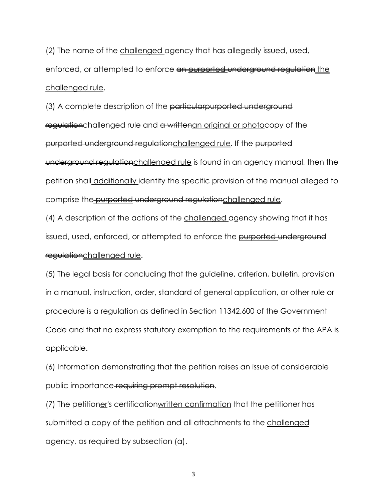(2) The name of the challenged agency that has allegedly issued, used, enforced, or attempted to enforce an purported underground regulation the challenged rule.

(3) A complete description of the particular purported underground regulationchallenged rule and a writtenan original or photocopy of the purported underground regulationchallenged rule. If the purported underground regulationchallenged rule is found in an agency manual, then the petition shall additionally identify the specific provision of the manual alleged to comprise the purported underground regulationchallenged rule.

(4) A description of the actions of the challenged agency showing that it has issued, used, enforced, or attempted to enforce the purported underground regulationchallenged rule.

(5) The legal basis for concluding that the guideline, criterion, bulletin, provision in a manual, instruction, order, standard of general application, or other rule or procedure is a regulation as defined in Section 11342.600 of the Government Code and that no express statutory exemption to the requirements of the APA is applicable.

(6) Information demonstrating that the petition raises an issue of considerable public importance requiring prompt resolution.

(7) The petitioner's certification written confirmation that the petitioner has submitted a copy of the petition and all attachments to the challenged agency, as required by subsection (a).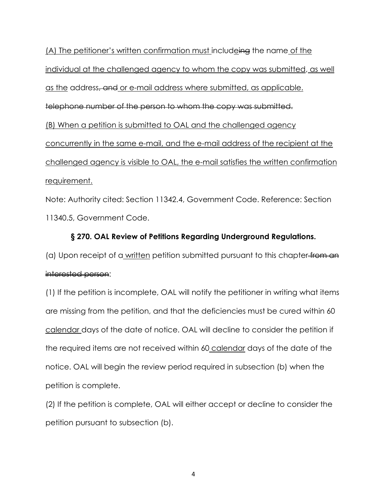(A) The petitioner's written confirmation must includeing the name of the individual at the challenged agency to whom the copy was submitted, as well as the address, and or e-mail address where submitted, as applicable. telephone number of the person to whom the copy was submitted. (B) When a petition is submitted to OAL and the challenged agency concurrently in the same e-mail, and the e-mail address of the recipient at the challenged agency is visible to OAL, the e-mail satisfies the written confirmation requirement.

Note: Authority cited: Section 11342.4, Government Code. Reference: Section 11340.5, Government Code.

#### **§ 270. OAL Review of Petitions Regarding Underground Regulations.**

(a) Upon receipt of a written petition submitted pursuant to this chapter from an interested person:

(1) If the petition is incomplete, OAL will notify the petitioner in writing what items are missing from the petition, and that the deficiencies must be cured within 60 calendar days of the date of notice. OAL will decline to consider the petition if the required items are not received within 60 calendar days of the date of the notice. OAL will begin the review period required in subsection (b) when the petition is complete.

(2) If the petition is complete, OAL will either accept or decline to consider the petition pursuant to subsection (b).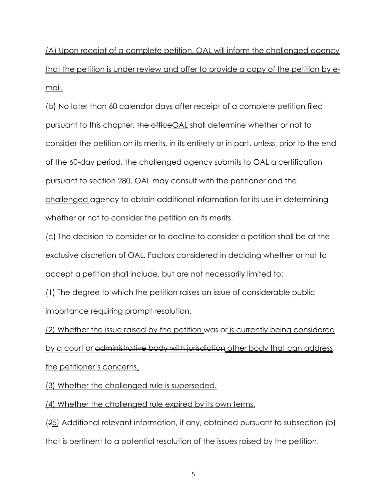(A) Upon receipt of a complete petition, OAL will inform the challenged agency that the petition is under review and offer to provide a copy of the petition by email.

(b) No later than 60 calendar days after receipt of a complete petition filed pursuant to this chapter, the office OAL shall determine whether or not to consider the petition on its merits, in its entirety or in part, unless, prior to the end of the 60-day period, the challenged agency submits to OAL a certification pursuant to section 280. OAL may consult with the petitioner and the challenged agency to obtain additional information for its use in determining whether or not to consider the petition on its merits.

(c) The decision to consider or to decline to consider a petition shall be at the exclusive discretion of OAL. Factors considered in deciding whether or not to accept a petition shall include, but are not necessarily limited to:

(1) The degree to which the petition raises an issue of considerable public importance requiring prompt resolution.

(2) Whether the issue raised by the petition was or is currently being considered by a court or edministrative body with jurisdiction other body that can address the petitioner's concerns.

(3) Whether the challenged rule is superseded.

(4) Whether the challenged rule expired by its own terms.

(25) Additional relevant information, if any, obtained pursuant to subsection (b) that is pertinent to a potential resolution of the issues raised by the petition.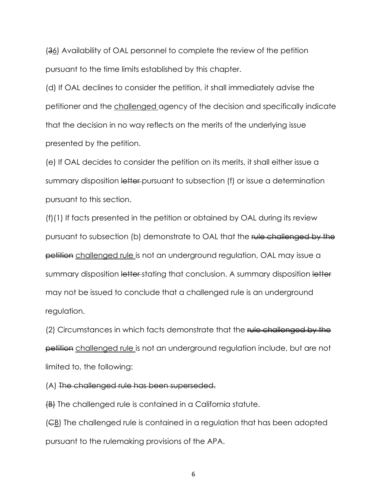(36) Availability of OAL personnel to complete the review of the petition pursuant to the time limits established by this chapter.

(d) If OAL declines to consider the petition, it shall immediately advise the petitioner and the challenged agency of the decision and specifically indicate that the decision in no way reflects on the merits of the underlying issue presented by the petition.

(e) If OAL decides to consider the petition on its merits, it shall either issue a summary disposition letter pursuant to subsection (f) or issue a determination pursuant to this section.

(f)(1) If facts presented in the petition or obtained by OAL during its review pursuant to subsection (b) demonstrate to OAL that the rule challenged by the petition challenged rule is not an underground regulation, OAL may issue a summary disposition letter-stating that conclusion. A summary disposition letter may not be issued to conclude that a challenged rule is an underground regulation.

(2) Circumstances in which facts demonstrate that the rule challenged by the petition challenged rule is not an underground regulation include, but are not limited to, the following:

(A) The challenged rule has been superseded.

(B) The challenged rule is contained in a California statute.

 $(EB)$  The challenged rule is contained in a regulation that has been adopted pursuant to the rulemaking provisions of the APA.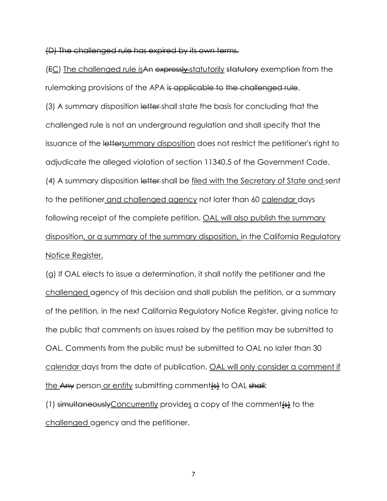(D) The challenged rule has expired by its own terms.

(EC) The challenged rule is An expressly statutorily statutory exemption from the rulemaking provisions of the APA is applicable to the challenged rule.

(3) A summary disposition letter shall state the basis for concluding that the challenged rule is not an underground regulation and shall specify that the issuance of the lettersummary disposition does not restrict the petitioner's right to adjudicate the alleged violation of section 11340.5 of the Government Code. (4) A summary disposition letter shall be filed with the Secretary of State and sent to the petitioner and challenged agency not later than 60 calendar days following receipt of the complete petition. OAL will also publish the summary disposition, or a summary of the summary disposition, in the California Regulatory Notice Register.

(g) If OAL elects to issue a determination, it shall notify the petitioner and the challenged agency of this decision and shall publish the petition, or a summary of the petition, in the next California Regulatory Notice Register, giving notice to the public that comments on issues raised by the petition may be submitted to OAL. Comments from the public must be submitted to OAL no later than 30 calendar days from the date of publication. OAL will only consider a comment if the Any person or entity submitting comment $\frac{f_1 f_2}{f_1}$  to OAL shall:

(1) simultaneously Concurrently provides a copy of the comment  $\frac{4}{10}$  to the challenged agency and the petitioner.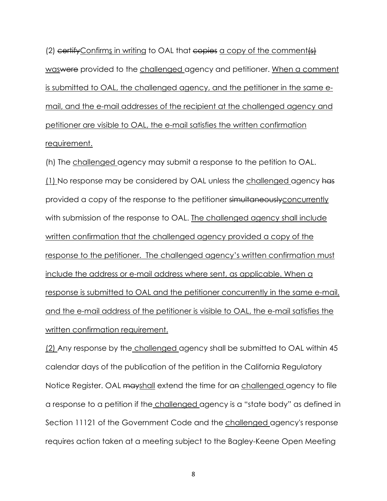(2) certify Confirms in writing to OAL that copies a copy of the comment  $\frac{4}{3}$ waswere provided to the challenged agency and petitioner. When a comment is submitted to OAL, the challenged agency, and the petitioner in the same email, and the e-mail addresses of the recipient at the challenged agency and petitioner are visible to OAL, the e-mail satisfies the written confirmation requirement.

(h) The challenged agency may submit a response to the petition to OAL. (1) No response may be considered by OAL unless the challenged agency has provided a copy of the response to the petitioner simultaneously concurrently with submission of the response to OAL. The challenged agency shall include written confirmation that the challenged agency provided a copy of the response to the petitioner. The challenged agency's written confirmation must include the address or e-mail address where sent, as applicable. When a response is submitted to OAL and the petitioner concurrently in the same e-mail, and the e-mail address of the petitioner is visible to OAL, the e-mail satisfies the written confirmation requirement.

(2) Any response by the challenged agency shall be submitted to OAL within 45 calendar days of the publication of the petition in the California Regulatory Notice Register. OAL mayshall extend the time for an challenged agency to file a response to a petition if the challenged agency is a "state body" as defined in Section 11121 of the Government Code and the challenged agency's response requires action taken at a meeting subject to the Bagley-Keene Open Meeting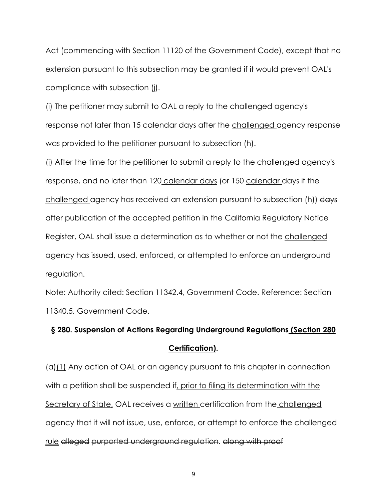Act (commencing with Section 11120 of the Government Code), except that no extension pursuant to this subsection may be granted if it would prevent OAL's compliance with subsection (j).

(i) The petitioner may submit to OAL a reply to the challenged agency's response not later than 15 calendar days after the challenged agency response was provided to the petitioner pursuant to subsection (h).

(j) After the time for the petitioner to submit a reply to the challenged agency's response, and no later than 120 calendar days (or 150 calendar days if the challenged agency has received an extension pursuant to subsection (h)) days after publication of the accepted petition in the California Regulatory Notice Register, OAL shall issue a determination as to whether or not the challenged agency has issued, used, enforced, or attempted to enforce an underground regulation.

Note: Authority cited: Section 11342.4, Government Code. Reference: Section 11340.5, Government Code.

# **§ 280. Suspension of Actions Regarding Underground Regulations (Section 280 Certification).**

 $(a)(1)$  Any action of OAL or an agency pursuant to this chapter in connection with a petition shall be suspended if, prior to filing its determination with the Secretary of State, OAL receives a written certification from the challenged agency that it will not issue, use, enforce, or attempt to enforce the challenged rule alleged purported underground regulation. along with proof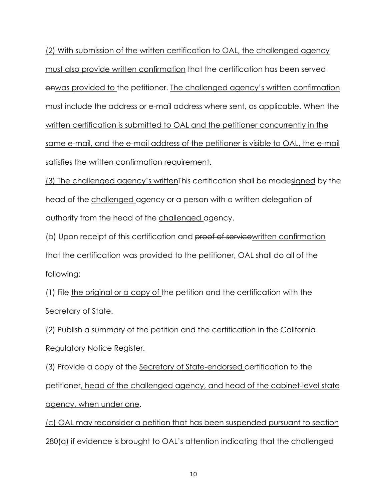(2) With submission of the written certification to OAL, the challenged agency must also provide written confirmation that the certification has been served onwas provided to the petitioner. The challenged agency's written confirmation must include the address or e-mail address where sent, as applicable. When the written certification is submitted to OAL and the petitioner concurrently in the same e-mail, and the e-mail address of the petitioner is visible to OAL, the e-mail satisfies the written confirmation requirement.

(3) The challenged agency's writtenThis certification shall be madesigned by the head of the challenged agency or a person with a written delegation of authority from the head of the challenged agency.

(b) Upon receipt of this certification and proof of service written confirmation that the certification was provided to the petitioner, OAL shall do all of the following:

(1) File the original or a copy of the petition and the certification with the Secretary of State.

(2) Publish a summary of the petition and the certification in the California Regulatory Notice Register.

(3) Provide a copy of the Secretary of State-endorsed certification to the petitioner, head of the challenged agency, and head of the cabinet-level state agency, when under one.

(c) OAL may reconsider a petition that has been suspended pursuant to section 280(a) if evidence is brought to OAL's attention indicating that the challenged